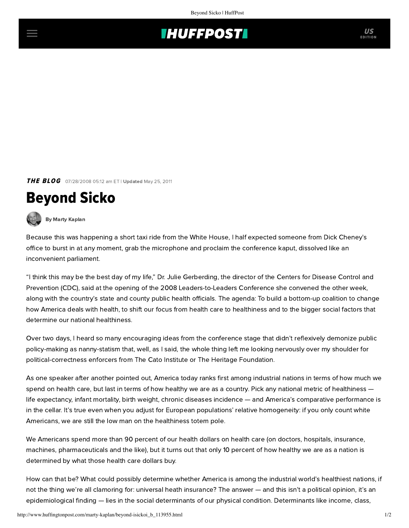## **INUFFPOSTI** US

**THE BLOG** 07/28/2008 05:12 am ET | Updated May 25, 2011

## Beyond Sicko



[By Marty Kaplan](http://www.huffingtonpost.com/author/marty-kaplan)

Because this was happening a short taxi ride from the White House, I half expected someone from Dick Cheney's office to burst in at any moment, grab the microphone and proclaim the conference kaput, dissolved like an inconvenient parliament.

"I think this may be the best day of my life," Dr. Julie Gerberding, the director of the Centers for Disease Control and Prevention (CDC), said at the opening of the 2008 Leaders-to-Leaders Conference she convened the other week, along with the country's state and county public health officials. The agenda: To build a bottom-up coalition to change how America deals with health, to shift our focus from health care to healthiness and to the bigger social factors that determine our national healthiness.

Over two days, I heard so many encouraging ideas from the conference stage that didn't reflexively demonize public policy-making as nanny-statism that, well, as I said, the whole thing left me looking nervously over my shoulder for political-correctness enforcers from The Cato Institute or The Heritage Foundation.

As one speaker after another pointed out, America today ranks first among industrial nations in terms of how much we spend on health care, but last in terms of how healthy we are as a country. Pick any national metric of healthiness life expectancy, infant mortality, birth weight, chronic diseases incidence — and America's comparative performance is in the cellar. It's true even when you adjust for European populations' relative homogeneity: if you only count white Americans, we are still the low man on the healthiness totem pole.

We Americans spend more than 90 percent of our health dollars on health care (on doctors, hospitals, insurance, machines, pharmaceuticals and the like), but it turns out that only 10 percent of how healthy we are as a nation is determined by what those health care dollars buy.

How can that be? What could possibly determine whether America is among the industrial world's healthiest nations, if not the thing we're all clamoring for: universal heath insurance? The answer — and this isn't a political opinion, it's an epidemiological finding — lies in the social determinants of our physical condition. Determinants like income, class,